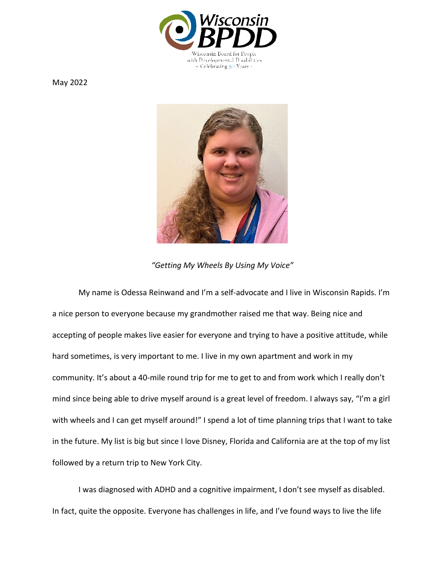

May 2022



*"Getting My Wheels By Using My Voice"* 

My name is Odessa Reinwand and I'm a self-advocate and I live in Wisconsin Rapids. I'm a nice person to everyone because my grandmother raised me that way. Being nice and accepting of people makes live easier for everyone and trying to have a positive attitude, while hard sometimes, is very important to me. I live in my own apartment and work in my community. It's about a 40-mile round trip for me to get to and from work which I really don't mind since being able to drive myself around is a great level of freedom. I always say, "I'm a girl with wheels and I can get myself around!" I spend a lot of time planning trips that I want to take in the future. My list is big but since I love Disney, Florida and California are at the top of my list followed by a return trip to New York City.

I was diagnosed with ADHD and a cognitive impairment, I don't see myself as disabled. In fact, quite the opposite. Everyone has challenges in life, and I've found ways to live the life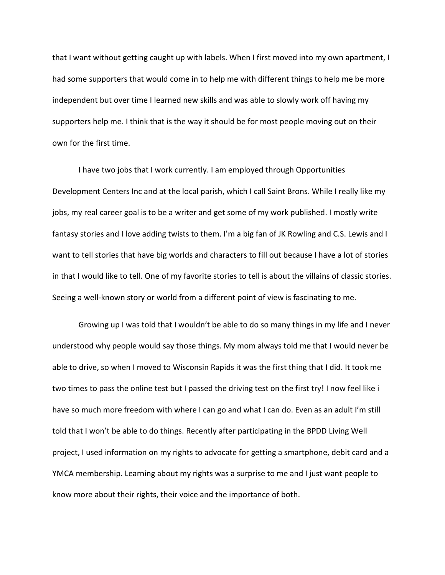that I want without getting caught up with labels. When I first moved into my own apartment, I had some supporters that would come in to help me with different things to help me be more independent but over time I learned new skills and was able to slowly work off having my supporters help me. I think that is the way it should be for most people moving out on their own for the first time.

I have two jobs that I work currently. I am employed through Opportunities Development Centers Inc and at the local parish, which I call Saint Brons. While I really like my jobs, my real career goal is to be a writer and get some of my work published. I mostly write fantasy stories and I love adding twists to them. I'm a big fan of JK Rowling and C.S. Lewis and I want to tell stories that have big worlds and characters to fill out because I have a lot of stories in that I would like to tell. One of my favorite stories to tell is about the villains of classic stories. Seeing a well-known story or world from a different point of view is fascinating to me.

Growing up I was told that I wouldn't be able to do so many things in my life and I never understood why people would say those things. My mom always told me that I would never be able to drive, so when I moved to Wisconsin Rapids it was the first thing that I did. It took me two times to pass the online test but I passed the driving test on the first try! I now feel like i have so much more freedom with where I can go and what I can do. Even as an adult I'm still told that I won't be able to do things. Recently after participating in the BPDD Living Well project, I used information on my rights to advocate for getting a smartphone, debit card and a YMCA membership. Learning about my rights was a surprise to me and I just want people to know more about their rights, their voice and the importance of both.